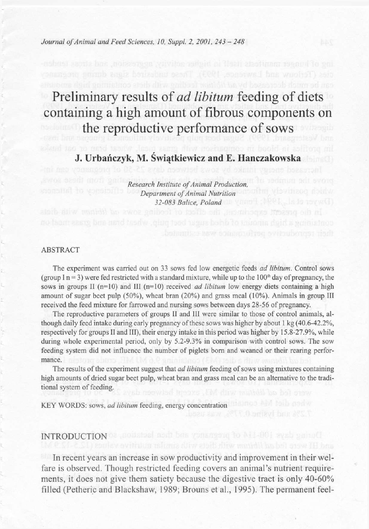*Journal of Animal and Feed Sciences, 10, Suppl. 2, 2001, 243 - 248* 

# Preliminary results of *ad libitum* feeding of diets containing a high amount of fibrous components on the reproductive performance of sows

**J. Urbańczyk, M. Świątkiewicz and E. Hanczakowska** 

*Research Institute of Animal Production, Department of Animal Nutrition 32-083 Bailee, Poland* 

#### ABSTRACT

The experiment was carried out on 33 sows fed low energetic feeds *ad libitum.* Control sows (group I n = 3) were fed restricted with a standard mixture, while up to the  $100<sup>th</sup>$  day of pregnancy, the sows in groups II (n=10) and III (n=10) received *ad libitum* low energy diets containing a high amount of sugar beet pulp (50%), wheat bran (20%) and grass meal (10%). Animals in group III received the feed mixture for farrowed and nursing sows between days 28-56 of pregnancy.

The reproductive parameters of groups II and III were similar to those of control animals, although daily feed intake during early pregnancy of these sows was higher by about 1 kg (40.6-42.2%, respectively for groups II and III), their energy intake in this period was higher by 15.8-27.9%, while during whole experimental period, only by 5.2-9.3% in comparison with control sows. The sow feeding system did not influence the number of piglets born and weaned or their rearing performance.

The results of the experiment suggest that *ad libitum* feeding of sows using mixtures containing high amounts of dried sugar beet pulp, wheat bran and grass meal can be an alternative to the traditional system of feeding.

KEY WORDS: sows, *ad libitum* feeding, energy concentration

# INTRODUCTION OF BOUSING And bus vonsagera to AI1-001 avab embod

In recent years an increase in sow productivity and improvement in their welfare is observed. Though restricted feeding covers an animal's nutrient requirements, it does not give them satiety because the digestive tract is only 40-60% filled (Petheric and Blackshaw, 1989; Brouns et al., 1995). The permanent feel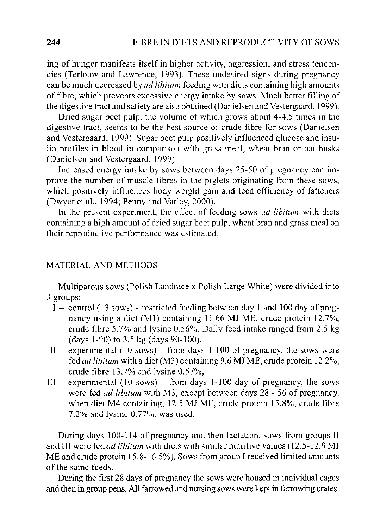ing of hunger manifests itself in higher activity, aggression, and stress tendencies (Terlouw and Lawrence, 1993). These undesired signs during pregnancy can be much decreased by *ad libitum* feeding with diets containing high amounts of fibre, which prevents excessive energy intake by sows. Much better filling of the digestive tract and satiety are also obtained (Danielsen and Vestergaard, 1999).

Dried sugar beet pulp, the volume of which grows about 4-4.5 times in the digestive tract, seems to be the best source of crude fibre for sows (Danielsen and Vestergaard, 1999). Sugar beet pulp positively influenced glucose and insulin profiles in blood in comparison with grass meal, wheat bran or oat husks (Danielsen and Vestergaard, 1999).

Increased energy intake by sows between days 25-50 of pregnancy can improve the number of muscle fibres in the piglets originating from these sows, which positively influences body weight gain and feed efficiency of fatteners (Dwyer et al., 1994; Penny and Varley, 2000).

In the present experiment, the effect of feeding sows *ad libitum* with diets containing a high amount of dried sugar beet pulp, wheat bran and grass meal on their reproductive performance was estimated.

## MATERIAL AND METHODS

Multiparous sows (Polish Landrace x Polish Large White) were divided into 3 groups:

- I control (13 sows) restricted feeding between day 1 and 100 day of pregnancy using a diet (Ml) containing 11.66 MJ ME, crude protein 12.7%, crude fibre 5.7% and lysine 0.56%. Daily feed intake ranged from 2.5 kg (days 1-90) to 3.5 kg (days 90-100),
- $II -$  experimental (10 sows) from days 1-100 of pregnancy, the sows were *fed ad libitum* with a diet (M3) containing 9.6 MJ ME, crude protein 12.2%, crude fibre 13.7% and lysine 0.57%,
- $III -$  experimental (10 sows) from days 1-100 day of pregnancy, the sows were fed *ad libitum* with M3, except between days 28 - 56 of pregnancy, when diet M4 containing, 12.5 MJ ME, crude protein 15.8%, crude fibre  $7.2\%$  and lysine  $0.77\%$ , was used.

During days 100-114 of pregnancy and then lactation, sows from groups II and III were fed *ad libitum* with diets with similar nutritive values (12.5-12.9 MJ ME and crude protein 15.8-16.5%). Sows from group I received limited amounts of the same feeds.

During the first 28 days of pregnancy the sows were housed in individual cages and then in group pens. All farrowed and nursing sows were kept in farrowing crates.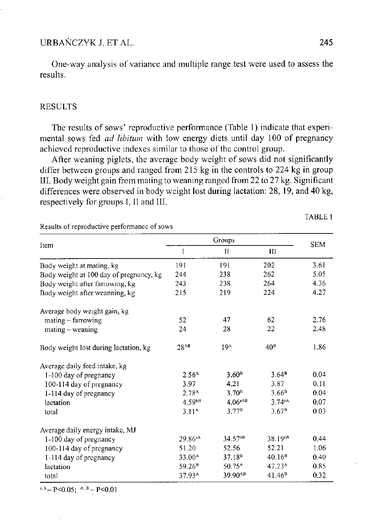# URBANCZYK J. ET AL. 245

Results of reproductive performance of sows

One-way analysis of variance and multiple range test were used to assess the results.

## RESULTS

The results of sows' reproductive performance (Table 1) indicate that experimental sows fed *ad libitum* with low energy diets until day 100 of pregnancy achieved reproductive indexes similar to those of the control group.

After weaning piglets, the average body weight of sows did not significantly differ between groups and ranged from 215 kg in the controls to 224 kg in group III. Body weight gain from mating to weaning ranged from 22 to 27 kg. Significant differences were observed in body weight lost during lactation: 28, 19, and 40 kg, respectively for groups I, II and III.

TABLE 1

| Item                                    | Groups              |                          |                     | <b>SEM</b> |
|-----------------------------------------|---------------------|--------------------------|---------------------|------------|
|                                         | I                   | П                        | Ш                   |            |
| Body weight at mating, kg               | 191                 | 191                      | 202                 | 3.61       |
| Body weight at 100 day of pregnancy, kg | 244                 | 238                      | 262                 | 5.05       |
| Body weight after farrowing, kg         | 243                 | 238                      | 264                 | 4.36       |
| Body weight after weanning, kg          | 215                 | 219                      | 224                 | 4.27       |
| Average body weight gain, kg            |                     |                          |                     |            |
| mating - farrowing                      | 52                  | 47                       | 62                  | 2.76       |
| $mating - weaning$                      | 24                  | 28                       | 22                  | 2.48       |
| Body weight lost during lactation, kg   | 28 <sup>AB</sup>    | 194                      | 40 <sup>h</sup>     | 1.86       |
| Average daily feed intake, kg           |                     |                          |                     |            |
| 1-100 day of pregnancy                  | $2.56^{\circ}$      | 3.60 <sup>B</sup>        | 3.64 <sup>8</sup>   | 0.04       |
| 100-114 day of pregnancy                | 3.97                | 4.21                     | 3.87                | 0.11       |
| 1-114 day of pregnancy                  | 2.78 <sup>A</sup>   | 3.70 <sup>B</sup>        | 3.66 <sup>B</sup>   | 0.04       |
| lactation                               | 4.59 <sup>bB</sup>  | $4.06^{aAD}$             | 3.74 <sup>4</sup>   | 0.07       |
| total                                   | $3.11^$             | 3.77 <sup>B</sup>        | 3.67 <sup>B</sup>   | 0.03       |
| Average daily energy intake, MJ         |                     |                          |                     |            |
| 1-100 day of pregnancy                  | 29.86 <sup>aA</sup> | $34.57^{b}$ <sup>B</sup> | 38.19 <sup>CB</sup> | 0.44       |
| 100-114 day of pregnancy                | 51.20               | 52.56                    | 52.21               | 1.06       |
| 1-114 day of pregnancy                  | 33.00 <sup>A</sup>  | 37.18 <sup>B</sup>       | 40.16 <sup>B</sup>  | 0.40       |
| lactation                               | 59.26 <sup>B</sup>  | 50.75 <sup>A</sup>       | 47 23 <sup>^</sup>  | 0.85       |
| total                                   | 37.93 <sup>A</sup>  | 39.90 <sup>AB</sup>      | 41.46 <sup>B</sup>  | 0.32       |

 $A_0 = P < 0.05$ ;  $A_0 = P < 0.01$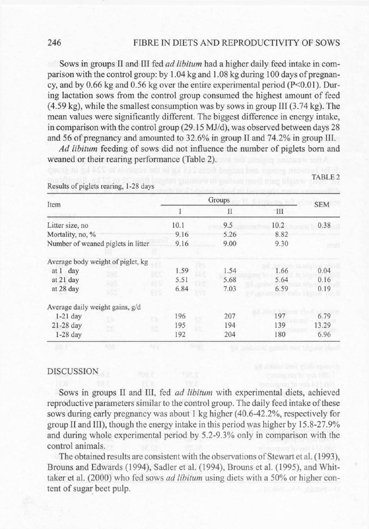# 246 FIBRE IN DIETS AND REPRODUCTIVITY OF SOWS

TABLE 2

Sows in groups II and III fed *ad libitum* had a higher daily feed intake in comparison with the control group: by 1.04 kg and 1.08 kg during 100 days of pregnancy, and by 0.66 kg and 0.56 kg over the entire experimental period ( $P<0.01$ ). During lactation sows from the control group consumed the highest amount of feed (4.59 kg), while the smallest consumption was by sows in group III (3.74 kg). The mean values were significantly different. The biggest difference in energy intake, in comparison with the control group (29.15 MJ/d), was observed between days 28 and 56 of pregnancy and amounted to 32.6% in group II and 74.2% in group III.

*Ad libitum* feeding of sows did not influence the number of piglets born and weaned or their rearing performance (Table 2).

| Item                               |      | Groups |                | <b>SEM</b> |
|------------------------------------|------|--------|----------------|------------|
|                                    |      | П      | $\mathbf{III}$ |            |
| Litter size, no                    | 10.1 | 9.5    | 10.2           | 0.38       |
| Mortality, no, %                   | 9.16 | 5.26   | 8.82           |            |
| Number of weaned piglets in litter | 9.16 | 9.00   | 9.30           |            |
| Average body weight of piglet, kg  |      |        |                |            |
| at 1 day<br>æs                     | 1.59 | 1.54   | 1.66           | 0.04       |
| at 21 day<br>æc                    | 5.51 | 5.68   | 5.64           | 0.16       |
| at 28 day<br>RC.                   | 6.84 | 7.03   | 6.59           | 0.19       |
| Average daily weight gains, g/d    |      |        |                |            |
| $1-21$ day<br>99                   | 196  | 207    | 197            | 6.79       |
| 21-28 day<br>œ                     | 195  | 194    | 139            | 13.29      |
| $1-28$ day                         | 192  | 204    | 180            | 6.96       |

Results of piglets rearing, 1-28 days

#### DISCUSSION

Sows in groups II and III, fed *ad libitum* with experimental diets, achieved reproductive parameters similar to the control group. The daily feed intake of these sows during early pregnancy was about 1 kg higher (40.6-42.2%), respectively for group II and III), though the energy intake in this period was higher by 15.8-27.9% and during whole experimental period by 5.2-9.3% only in comparison with the control animals.

The obtained results are consistent with the observations of Stewart et al. (1993), Brouns and Edwards (1994), Sadler et al. (1994), Brouns et al. (1995), and Whittaker et al. (2000) who fed sows *ad libitum* using diets with a 50% or higher content of sugar beet pulp.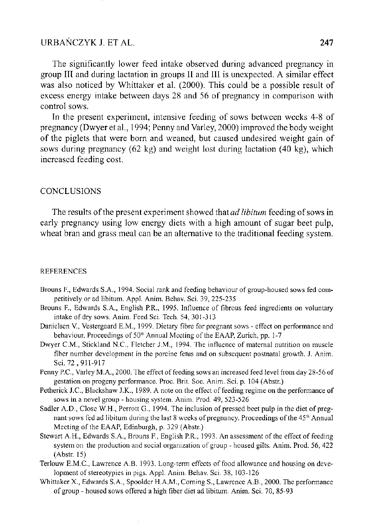# URBANCZYK J. ET AL. 247

The significantly lower feed intake observed during advanced pregnancy in group III and during lactation in groups II and III is unexpected. A similar effect was also noticed by Whittaker et al. (2000). This could be a possible result of excess energy intake between days 28 and 56 of pregnancy in comparison with control sows.

In the present experiment, intensive feeding of sows between weeks 4-8 of pregnancy (Dwyer et al., 1994; Penny and Varley, 2000) improved the body weight of the piglets that were born and weaned, but caused undesired weight gain of sows during pregnancy (62 kg) and weight lost during lactation (40 kg), which increased feeding cost.

# **CONCLUSIONS**

The results of the present experiment showed that *ad libitum* feeding of sows in early pregnancy using low energy diets with a high amount of sugar beet pulp, wheat bran and grass meal can be an alternative to the traditional feeding system.

### REFERENCES

- Brouns F., Edwards S.A., 1994. Social rank and feeding behaviour of group-housed sows fed competitively or ad libitum. Appl. Anim. Behav. Sci. 39, 225-235
- Brouns F., Edwards S.A., English P.R., 1995. Influence of fibrous feed ingredients on voluntary intake of dry sows. Anim. Feed Sci. Tech. 54, 301-313
- Danielsen V., Vestergaard E.M., 1999. Dietary fibre for pregnant sows effect on performance and behaviour. Proceedings of 50<sup>th</sup> Annual Meeting of the EAAP, Zurich, pp. 1-7
- Dwyer CM. , Stickland N.C., Fletcher J.M., 1994. The influence of maternal nutrition on muscle fiber number development in the porcine fetus and on subsequent postnatal growth. J. Anim. Sci. 72, 911-917
- Penny P.C., Varley M.A., 2000. The effect of feeding sows an increased feed level from day 28-56 of gestation on progeny performance. Proc. Brit. Soc. Anim. Sci. p. 104 (Abstr.)
- Petherick J.C., Blackshaw J.K., 1989. A note on the effect of feeding regime on the performance of sows in a novel group - housing system. Anim. Prod. 49, 523-526
- Sadler A.D., Close W.H., Perrott G., 1994. The inclusion of pressed beet pulp in the diet of pregnant sows fed ad libitum during the last 8 weeks of pregnancy. Proceedings of the 45<sup>th</sup> Annual Meeting of the EAAP, Edinburgh, p. 329 (Abstr.)
- Stewart A.H., Edwards S.A., Brouns F., English P.R., 1993. An assessment of the effect of feeding system on the production and social organization of group - housed gilts. Anim. Prod. 56, 422 (Abstr. 15)
- Terlouw E.M.C., Lawrence A.B. 1993. Long-term effects of food allowance and housing on development of stereotypies in pigs. Appl. Anim. Behav. Sci. 38, 103-126
- Whittaker X., Edwards S.A., Spoolder H.A.M., Corning S., Lawrence A.B., 2000. The performance of group - housed sows offered a high fiber diet ad libitum. Anim. Sci. 70, 85-93